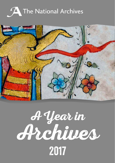



# A Year in Archives

2017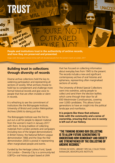

**People and institutions trust in the authenticity of archive records, and how they are preserved and presented.**

credit: Bishopsgate Institute Archive staff with donated placards from the women's mar

### **Building trust in collections through diversity of records**

Diverse archive collections hold the key to widening participation and representing all sections of society. What archives choose to hold has to complement and challenge more formal historical records and give voice to people that that are often invisible or silent in records.

It is refreshing to see the commitment of institutions like the Bishopsgate Institute, University of Bristol and London Metropolitan Archives (LMA) to doing just that.

The Bishopsgate Institute was the first to put out a call for people to deposit material from the women's march in January 2017 with them. Its long tradition of collecting materials from London protests and campaigns (including two of the largest demonstrations in British history; the National Reform League demonstration 1866 and the Stop the War demonstration 2003) is pivotal in representing often marginalised people and events.

Funded by the Heritage Lottery Fund, Speak Out London – Diversity City is a community-led LGBTQ+ oral history project based at LMA

that has focused on collecting information about everyday lives from 1945 to the present. The records include a new and significant contemporary archive of oral histories and ephemera, representing often marginalised sections of society.

The University of Bristol Special Collections went into overdrive, asking people to collect and send them the election leaflets which come through their door for all 650 Westminster Constituencies, covering over 3,000 candidates. This allows future generations to have an insight into the political landscape and manifestos.

**It is projects like these that enhance links with the community and a sense of ownership, ensuring that no one in society is left out of our history.**

#### "the thinking behind our collecting is to allow future generations to understand how democracy and society are strengthened by the collecting of archive records."

STEFAN DICKERS, LIBRARY SPECIAL COLLECTIONS MANAGER, BISHOPSGATE INSTITUTE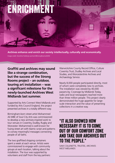## ENRICHMENT

**Archives enhance and enrich our society intellectually, culturally and economically.** Image credit: Dorothie Feilding's portrait @StrongRoomsAWM

**Graffiti and archives may sound like a strange combination, but the success of the Strong Rooms project – an outdoor, touring art installation – was a significant milestone for the newly-launched Archives West Midlands last summer.**

Supported by Arts Connect West Midlands and funded by Arts Council England, the project presented archives in a totally different way.

Birmingham-born street artist Mohammed Ali MBE of Soul City Arts was commissioned to develop a new archives-inspired work to tour venues in Coventry, Dudley, Rugby and Worcester. Mohammed is well-known for fusing street art with Islamic script and patterns to convey meaningful messages connecting people of all faiths.

The two graffitied shipping containers spent a week at each venue. Artists were commissioned to engage with community groups at each location, talking about the installation. The tour was supported by volunteers and staff from the key partners: Warwickshire County Record Office, Culture Coventry Trust, Dudley Archives and Local Studies, and Worcestershire Archives and Archaeology Service.

Nearly 8,000 people participated directly, most of whom were completely new to archives. The installation was viewed by 40,000 passers-by. Coverage by Midlands Today, radio and local newspapers reached more than three million people. This project clearly demonstrated the huge appetite for largescale interaction and the value of presenting collections in a creative way.

### "It also showed how necessary it is to come out of our comfort zone and take our archives out to the people."

SAM COLLENETTE, TRUSTEE, ARCHIVES WEST MIDLANDS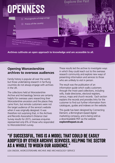

**Archives cultivate an open approach to knowledge and are accessible to all.**

### **Opening Worcestershire archives to overseas audiences**

Family history is popular all over the world, but those undertaking research in far-flung countries do not always engage with archives in the UK.

The collections held at Worcestershire Archive and Archaeology Service are certainly helpful for overseas users researching their Worcestershire ancestors and the places they came from, but remote customers were not the target audience of the service's website when it was originally designed. It was therefore not surprising that, in the Archives and Records Association's Distance User Survey results for 2015, overseas enquiries represented only 6% of those who responded to Worcestershire's survey.

These results led the archive to investigate ways in which they could reach out to the overseas research community and explore new ways of presenting information and services to those who are unlikely to visit in person.

The result was the publication of an information guide which walks customers through the most-used collections, including wills, trade directories, electoral registers, census, maps and church records. Each section explains the records and provides links for the customer to find out further information from catalogues, guides and indexes on the website.

This guide has been designed by Connecting Element, a Birmingham-based digital marketing company, and is being sold as a downloadable PDF via the website **explorethepast.co.uk**.

### "If successful, this is a model that could be easily adopted by other archive services, helping the sector as a whole to widen our audience."

LISA SNOOK, WORCESTERSHIRE ARCHIVE AND ARCHAEOLOGY SERVICE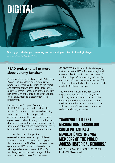

**Our biggest challenge is creating and sustaining archives in the digital age.**

Image credit: Computer Vision Lab, TU Wien

### **READ project to tell us more about Jeremy Bentham**

As part of University College London's Bentham Project – an interdisciplinary enterprise to produce a new scholarly edition of the works and correspondence of the legal philosopher Jeremy Bentham – academics at the university partnered with the Linnean Society of London on a Handwritten Text Recognition (HTR) programme.

Funded by the European Commission, the READ (Recognition and Enrichment of Archival Documents) project uses developing technologies to enable computers to read and search handwritten documents though a process of machine learning. Given the sheer diversity of handwriting, from different styles to uncommon abbreviations, technology needs to be trained to understand such complexities.

Through the Transkribus platform,

(**transkribus.eu**), users can upload digital images of manuscript pages and supply a short transcription. The Transkribus team then generates an HTR model for the collection, with a possible accuracy rate of 95%. By supplying the platform with images of the manuscript collections of Carl Linnaeus

(1707-1778), the Linnean Society is helping further refine the HTR software through their use of a collection which features Linnaeus' "notoriously poor" handwriting in Swedish and Latin. UCL then hopes to utilise the HTR software in their efforts to transcribe and make available Bentham's writings.

The two organisations have also worked together by holding a joint event, asking archivists, librarians, researchers and other heritage professionals about their 'digital toolbox,' in the hopes of encouraging more archives to use HTR software to make their collections digitally accessible.

### "Handwritten Text Recognition technology COULD POTENTIALLY revolutioniSe the way MEMBERS OF THE PUBLIC access historical records."

DR LOUISE SEAWARD, RESEARCH ASSOCIATE, BENTHAM PROJECT, UCL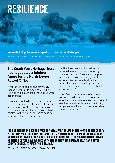### RESILIENCE

**We are building the sector's capacity to meet future challenges** Image credit: Braunton sketchbook, c.1900. Used with kind permission of the South West Heritage Trust (NDROO ref. B278)

### **The South West Heritage Trust has negotiated a brighter future for the North Devon Record Office**

A consortium of councils and community support now helps to fund a service which is focusing on outreach and developing volunteer opportunities.

This partnership has been the result of a shared wish to create an innovative and cost-effective archive service for North Devon. The region has a strong local identity but is geographically isolated, so there was a widespread desire to keep and enhance the local service.

Facilities have been transformed, with a refreshed search room, improved strong room facilities, new IT system and bespoke photographic store. New engagement opportunities are being developed and it is hoped that there is now a long-term future for this service, which will celebrate its 30th anniversary in 2018.

North Devon is a testament to how forming partnerships with local communities and organisations can transform services at risk and give them a sustainable future, contributing to bringing greater benefits to the surrounding area and its people.

#### "The North Devon Record Office is a vital part of life in the north of the county. We greatly value our heritage and it is important that it remains accessible in North Devon. Over 30 town and parish councils, and other organisations across Northern Devon, have worked with the South West Heritage Trust and Devon County Council to make this possible."

WILL AUSTIN, CLERK, BARNSTAPLE TOWN COUNCIL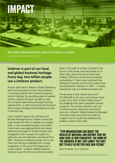### **IMPACT**

**We need to demonstrate the impact of archives on society.**

Image credit: Image kind permission of Unilever

### **Unilever is part of our local and global business heritage. Every day, two billion people use a Unilever product.**

Archive staff within Unilever's Global Marketing and Communication function are prominent in sourcing material from Unilever's extensive archive holdings. By providing copies of original archive material, the team are able to help the company raise revenue through licensing opportunities, as well as ensuring that its brand and company heritage are promoted and used in the best way.

Claire Tunstall, Head of Art, Archives and Records Management at Unilever, knows the huge impact her team is making on a regular basis. A clear example includes a time when Claire's team was approached by the Global Marketing Manager for Pond's Unilever Asia (Singapore), with a request for copies of a particular oral care television commercial from 2001, showing a whitening shade card in use. They were facing a challenge from a major competitor on the use of the shade card in a new market – Unilever needed evidence showing it was the first to use this innovation. Most of the staff at Unilever involved in the launch of the shade card had moved on to other roles, and so the brand team were finding it difficult to locate documentation surrounding it. Claire's team searched their database of records and found an advert that was broadcast in Morocco in 2001 – it clearly showed the use of a whitening shade card.

The business in that market was worth €15,000,000 at the time, and Unilever stood to lose 10 to 20% of their market share if the challenge from their competitor proved successful. The archive collection was vital in influencing this significant commercial outcome; Unilever's Global Marketing Manager informed Claire's team that he could not imagine how he could have obtained this evidence without their help.

### "Few organisations can boast the WEALTH OF MATERIAL AND HISTORY THAT WE have here at our fingertips. The work of THE ARCHIVES IS NOT JUST ABOUT THE PAST but to help us better face our future."

PAUL POLMAN, CEO, UNILEVER